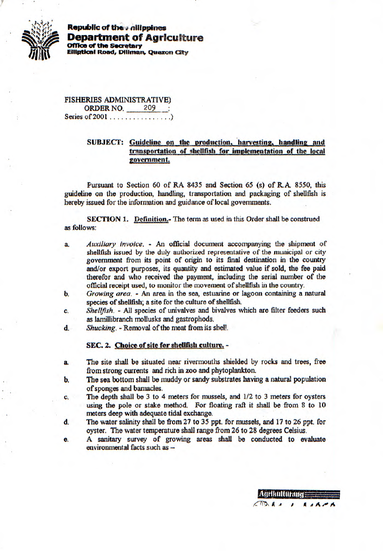

**Republic of the** *a* **dilippines Department of Agriculture**<br>office of the secretary *Office of the Secretary***<br>
<b>Elliptical Road, Diliman Elliptical Road,** 

> FISHERIES ADMINISTRATIVE) ORDER NO. 209 : Series of 2001 ................)

## **SUBJECT:** Guideline on the production, harvesting, handling and transportation of shellfish for implementation of the local **overnment.**

Pursuant to Section 60 of RA 8435 and Section 65 (s) of RA. *8550,* this guideline on the production, handling, transportation and packaging of shellfish is hereby issued for the information and guidance of local governments.

**SECTION 1.** Definition.- The term as used in this Order shall be construed as follows:

- a. *Auxiliary invoice*. An official document accompanying the shipment of shellfish issued by the duly authorized representative of the municipal or city government from its point of origin to its final destination in the country and/or export purposes, its quantity and estimated value if sold, the fee paid therefor and who received the payment, including the serial number of the official receipt used, to monitor the movement of shellfish in the country.
- *b. Growing area.*  An area in the sea, estuarine or lagoon containing a natural species of shellfish; a site for the culture of shellfish.
- C. *Shellfish. All* species of univalves and bivalves which are filter feeders such as larnillibranch mollusks and gastrophods.
- *d. Shucking. Removal of the meat from its shelf.*

## **SEC. 2. Choice of site for shellfish culture. -**

- a, The site shall be situated near rivermouths shielded by rocks and trees, free from strong currents and rich in zoo and phytoplankton.
- **b. The sea bottom shall be muddy or sandy substrates having a natural population**  of sponges and barnacles.
- C. The depth shall be 3 to 4 meters for mussels, and 1/2 to 3 meters for oysters using the pole or stake method. For floating raft it shall be from 8 to 10 meters deep with adequate tidal exchange.
- d. The water salinity shall be from 27 to 35 ppt, for mussels, and 17 to 26 ppt, for oyster. The water temperature shall range from 26 to 28 degrees Celsius.
- e. A sanitary survey of growing areas shall be conducted to evaluate environmental facts such as -

*NA4401f* **ON <sup>1</sup> 0'.**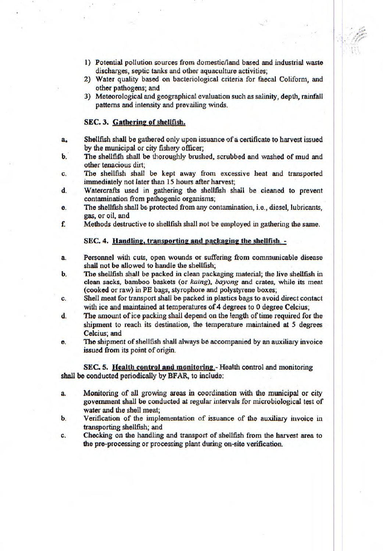- I) Potential pollution sources from domestic/land based and industrial waste discharges, septic tanks and other aquaculture activities;
- 2) Water quality based on bacteriological criteria for faecal Coliform, and other pathogens; and
- 3) Meteorological and geographical evaluation such as salinity, depth, rainfall patterns and intensity and prevailing *winds.*

## **SEC. 3. Gathering of shellfish.**

- a,1 Shellfish shall be gathered *only upon* issuance of a certificate to harvest issued by the municipal or city fishery officer;
- b. The shellfih shall be thoroughly brushed, scrubbed and washed of mud and other tenacious dirt;
- *C.* The shellfish shall be kept away from excessive heat and transported immediately not later than 15 hours after harvest;
- d. Watercrafls used in gathering the shellfish shall be cieaned to prevent contamination from pathogenic organisms;
- e. The shellfish shall be protected from any contamination, i.e., diesel, lubricants, gas, or oil, and
- f. Methods destructive to shellfish shall not be employed in gathering the same.

## **SEC. 4. Handling, transporting and packaging the shellfish.** -

- a. Personnel with cuts, open wounds or suffering from communicable disease shall not be allowed to handle the shellfish;
- b. The shellfish shall be packed in clean packaging material; the live shellfish in clean sacks, bamboo baskets (or *kaing*), *bayong* and crates, while its meat (cooked or raw) in PE bags, styrophore and polystyrene boxes;
- *C.* Shell meat for transport *shall be packed in* plastics bags to avoid direct contact with ice and maintained at temperatures of 4 degrees to 0 degree Celcius;
- d. The amount of ice packing shall depend on the length of time required for the shipment to reach its destination, the temperature maintained at *5* degrees Celcius; and
- e. The shipment of shellfish shall always *13o* accompanied by an auxiliary invoice issued from its point of origin.

**SEC. 5. Health control and monitoring.** - Health control and monitoring shall be conducted periodically by BFAR, to include:

- a. Monitoring of all growing areas in coordination with the municipal or city government shall be conducted at regular intervals for microbiological test of water and the shell meat;
- b. Verification of the implementation of issuance of the auxiliary invoice in *transporting shellfish; and*
- *C.* Checking on the handling and transport of shellfish from the harvest area to the pre-processing or processing plant during on-site verification.